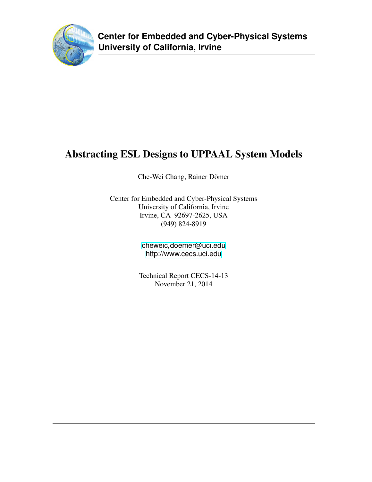

# Abstracting ESL Designs to UPPAAL System Models

Che-Wei Chang, Rainer Dömer

Center for Embedded and Cyber-Physical Systems University of California, Irvine Irvine, CA 92697-2625, USA (949) 824-8919

> [cheweic,doemer@uci.edu](cheweic, doemer@uci.edu) <http://www.cecs.uci.edu>

Technical Report CECS-14-13 November 21, 2014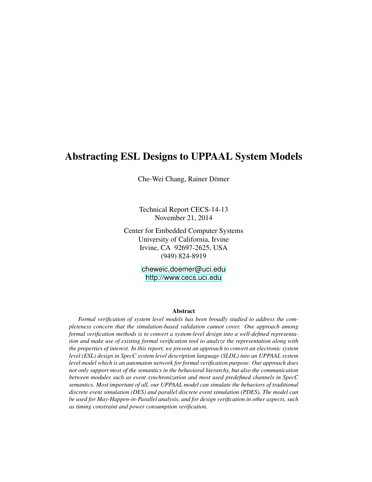## Abstracting ESL Designs to UPPAAL System Models

Che-Wei Chang, Rainer Dömer

Technical Report CECS-14-13 November 21, 2014

Center for Embedded Computer Systems University of California, Irvine Irvine, CA 92697-2625, USA (949) 824-8919

> [cheweic,doemer@uci.edu](cheweic, doemer@uci.edu) <http://www.cecs.uci.edu>

#### Abstract

*Formal verification of system level models has been broadly studied to address the completeness concern that the simulation-based validation cannot cover. One approach among formal verification methods is to convert a system-level design into a well-defined representation and make use of existing formal verification tool to analyze the representation along with the properties of interest. In this report, we present an approach to convert an electronic system level (ESL) design in SpecC system level description language (SLDL) into an UPPAAL system level model which is an automaton network for formal verification purpose. Our approach does not only support most of the semantics in the behavioral hierarchy, but also the communication between modules such as event synchronization and most used predefined channels in SpecC semantics. Most important of all, our UPPAAL model can simulate the behaviors of traditional discrete event simulation (DES) and parallel discrete event simulation (PDES). The model can be used for May-Happen-in-Parallel analysis, and for design verification in other aspects, such as timing constraint and power consumption verification.*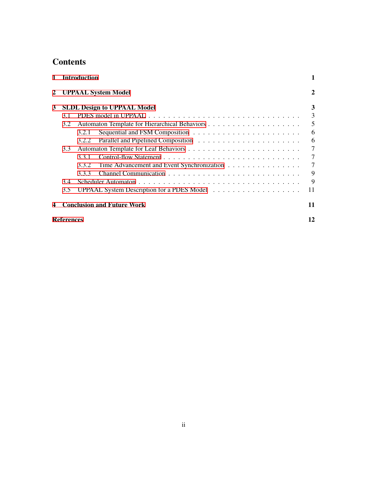## **Contents**

| 1 |                            | <b>Introduction</b>                                 | 1      |
|---|----------------------------|-----------------------------------------------------|--------|
| 2 | <b>UPPAAL System Model</b> |                                                     |        |
| 3 |                            | <b>SLDL Design to UPPAAL Model</b>                  | 3      |
|   | 3.1                        |                                                     | 3      |
|   | 3.2                        |                                                     | 5      |
|   |                            | 3.2.1                                               | 6      |
|   |                            | 3.2.2                                               | 6      |
|   | 3.3                        |                                                     | $\tau$ |
|   |                            | 3.3.1                                               | $\tau$ |
|   |                            | Time Advancement and Event Synchronization<br>3.3.2 | $\tau$ |
|   |                            | 3.3.3                                               | 9      |
|   | 3.4                        |                                                     | 9      |
|   | 3.5                        |                                                     | 11     |
| 4 |                            | <b>Conclusion and Future Work</b>                   | 11     |
|   | References                 |                                                     | 12     |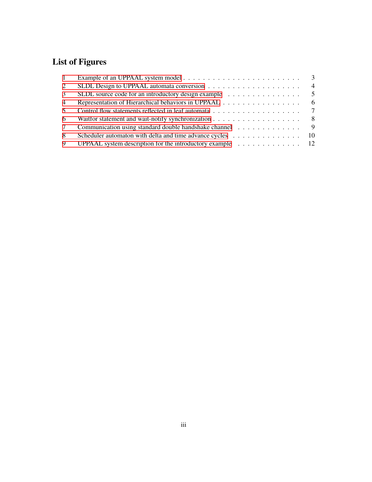## List of Figures

| $\mathbf{1}$   |                                                                                                 |                |
|----------------|-------------------------------------------------------------------------------------------------|----------------|
| $\overline{2}$ |                                                                                                 | $\overline{4}$ |
| 3              | SLDL source code for an introductory design example                                             | $\overline{5}$ |
| 4              |                                                                                                 | - 6            |
| 5              |                                                                                                 |                |
| 6              | Waitfor statement and wait-notify synchronization $\ldots \ldots \ldots \ldots \ldots \ldots$   |                |
| 7              | Communication using standard double handshake channel 9                                         |                |
| 8              | Scheduler automaton with delta and time advance cycles 10                                       |                |
| 9              | UPPAAL system description for the introductory example $\dots \dots \dots \dots \dots \dots$ 12 |                |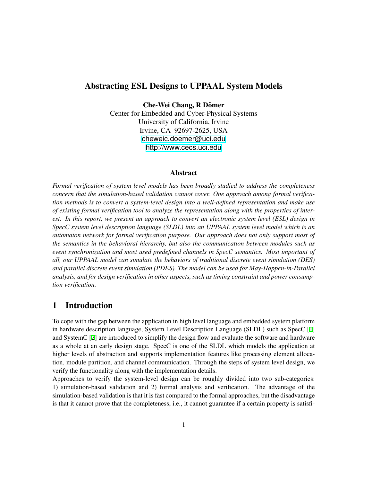## Abstracting ESL Designs to UPPAAL System Models

Che-Wei Chang, R Dömer

Center for Embedded and Cyber-Physical Systems University of California, Irvine Irvine, CA 92697-2625, USA [cheweic,doemer@uci.edu](cheweic, doemer@uci.edu) <http://www.cecs.uci.edu>

#### Abstract

*Formal verification of system level models has been broadly studied to address the completeness concern that the simulation-based validation cannot cover. One approach among formal verification methods is to convert a system-level design into a well-defined representation and make use of existing formal verification tool to analyze the representation along with the properties of interest. In this report, we present an approach to convert an electronic system level (ESL) design in SpecC system level description language (SLDL) into an UPPAAL system level model which is an automaton network for formal verification purpose. Our approach does not only support most of the semantics in the behavioral hierarchy, but also the communication between modules such as event synchronization and most used predefined channels in SpecC semantics. Most important of all, our UPPAAL model can simulate the behaviors of traditional discrete event simulation (DES) and parallel discrete event simulation (PDES). The model can be used for May-Happen-in-Parallel analysis, and for design verification in other aspects, such as timing constraint and power consumption verification.*

## <span id="page-4-0"></span>1 Introduction

To cope with the gap between the application in high level language and embedded system platform in hardware description language, System Level Description Language (SLDL) such as SpecC [\[1\]](#page-15-1) and SystemC [\[2\]](#page-15-2) are introduced to simplify the design flow and evaluate the software and hardware as a whole at an early design stage. SpecC is one of the SLDL which models the application at higher levels of abstraction and supports implementation features like processing element allocation, module partition, and channel communication. Through the steps of system level design, we verify the functionality along with the implementation details.

Approaches to verify the system-level design can be roughly divided into two sub-categories: 1) simulation-based validation and 2) formal analysis and verification. The advantage of the simulation-based validation is that it is fast compared to the formal approaches, but the disadvantage is that it cannot prove that the completeness, i.e., it cannot guarantee if a certain property is satisfi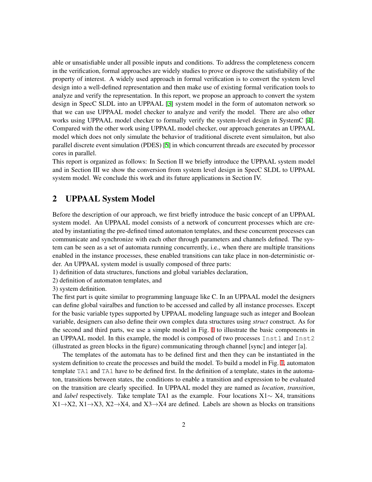able or unsatisfiable under all possible inputs and conditions. To address the completeness concern in the verification, formal approaches are widely studies to prove or disprove the satisfiability of the property of interest. A widely used approach in formal verification is to convert the system level design into a well-defined representation and then make use of existing formal verification tools to analyze and verify the representation. In this report, we propose an approach to convert the system design in SpecC SLDL into an UPPAAL [\[3\]](#page-15-3) system model in the form of automaton network so that we can use UPPAAL model checker to analyze and verify the model. There are also other works using UPPAAL model checker to formally verify the system-level design in SystemC [[4](#page-15-4)]. Compared with the other work using UPPAAL model checker, our approach generates an UPPAAL model which does not only simulate the behavior of traditional discrete event simulaiton, but also parallel discrete event simulation (PDES) [\[5\]](#page-15-5) in which concurrent threads are executed by processor cores in parallel.

This report is organized as follows: In Section II we briefly introduce the UPPAAL system model and in Section III we show the conversion from system level design in SpecC SLDL to UPPAAL system model. We conclude this work and its future applications in Section IV.

## <span id="page-5-0"></span>2 UPPAAL System Model

Before the description of our approach, we first briefly introduce the basic concept of an UPPAAL system model. An UPPAAL model consists of a network of concurrent processes which are created by instantiating the pre-defined timed automaton templates, and these concurrent processes can communicate and synchronize with each other through parameters and channels defined. The system can be seen as a set of automata running concurrently, i.e., when there are multiple transitions enabled in the instance processes, these enabled transitions can take place in non-deterministic order. An UPPAAL system model is usually composed of three parts:

1) definition of data structures, functions and global variables declaration,

2) definition of automaton templates, and

3) system definition.

The first part is quite similar to programming language like C. In an UPPAAL model the designers can define global vairalbes and function to be accessed and called by all instance processes. Except for the basic variable types supported by UPPAAL modeling language such as integer and Boolean variable, designers can also define their own complex data structures using *struct* construct. As for the second and third parts, we use a simple model in Fig. [1](#page-5-0) to illustrate the basic components in an UPPAAL model. In this example, the model is composed of two processes Inst1 and Inst2 (illustrated as green blocks in the figure) communicating through channel [sync] and integer [a].

The templates of the automata has to be defined first and then they can be instantiated in the system definition to create the processes and build the model. To build a model in Fig. [1](#page-5-0), automaton template TA1 and TA1 have to be defined first. In the definition of a template, states in the automaton, transitions between states, the conditions to enable a transition and expression to be evaluated on the transition are clearly specified. In UPPAAL model they are named as *location*, *transition*, and *label* respectively. Take template TA1 as the example. Four locations X1*∼* X4, transitions X1*→*X2, X1*→*X3, X2*→*X4, and X3*→*X4 are defined. Labels are shown as blocks on transitions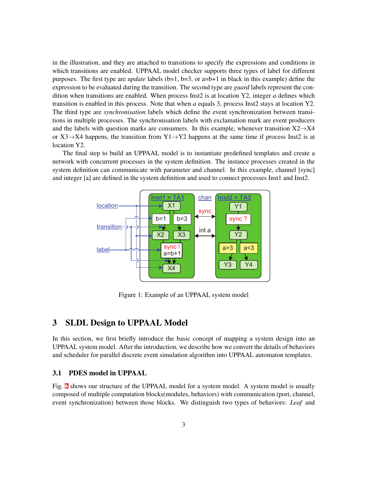in the illustration, and they are attached to transitions to specify the expressions and conditions in which transitions are enabled. UPPAAL model checker supports three types of label for different purposes. The first type are *update* labels (b=1, b=3, or a=b+1 in black in this example) define the expression to be evaluated during the transition. The second type are *guard* labels represent the condition when transitions are enabled. When process Inst2 is at location Y2, integer *a* defines which transition is enabled in this process. Note that when *a* equals 3, process Inst2 stays at location Y2. The third type are *synchronisation* labels which define the event synchronization between transitions in multiple processes. The synchronisation labels with exclamation mark are event producers and the labels with question marks are consumers. In this example, whenever transition X2*→*X4 or X3*→*X4 happens, the transition from Y1*→*Y2 happens at the same time if process Inst2 is at location Y2.

The final step to build an UPPAAL model is to instantiate predefined templates and create a network with concurrent processes in the system definition. The instance processes created in the system definition can communicate with parameter and channel. In this example, channel [sync] and integer [a] are defined in the system definition and used to connect processes Inst1 and Inst2.



Figure 1: Example of an UPPAAL system model

### <span id="page-6-0"></span>3 SLDL Design to UPPAAL Model

In this section, we first briefly introduce the basic concept of mapping a system design into an UPPAAL system model. After the introduction, we describe how we convert the details of behaviors and scheduler for parallel discrete event simulation algorithm into UPPAAL automaton templates.

#### <span id="page-6-1"></span>3.1 PDES model in UPPAAL

Fig. [2](#page-6-1) shows our structure of the UPPAAL model for a system model. A system model is usually composed of multiple computation blocks(modules, behaviors) with communication (port, channel, event synchronization) between those blocks. We distinguish two types of behaviors: *Leaf* and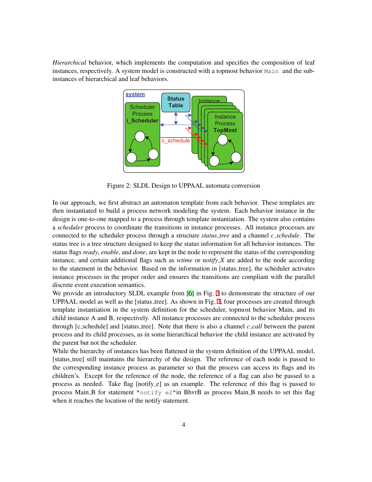*Hierarchical* behavior, which implements the computation and specifies the composition of leaf instances, respectively. A system model is constructed with a topmost behavior Main and the subinstances of hierarchical and leaf behaviors.



Figure 2: SLDL Design to UPPAAL automata conversion

In our approach, we first abstract an automaton template from each behavior. These templates are then instantiated to build a process network modeling the system. Each behavior instance in the design is one-to-one mapped to a process through template instantiation. The system also contains a *scheduler* process to coordinate the transitions in instance processes. All instance processes are connected to the scheduler process through a structure *status tree* and a channel *c schedule*. The status tree is a tree structure designed to keep the status information for all behavior instances. The status flags *ready*, *enable*, and *done*, are kept in the node to represent the status of the corresponding instance, and certain additional flags such as *wtime* or *notify X* are added to the node according to the statement in the behavior. Based on the information in [status tree], the scheduler activates instance processes in the proper order and ensures the transitions are compliant with the parallel discrete event execution semantics.

We provide an introductory SLDL example from [[6](#page-15-6)] in Fig. [3](#page-6-1) to demonstrate the structure of our UPPAAL model as well as the [status tree]. As shown in Fig. [3](#page-6-1), four processes are created through template instantiation in the system definition for the scheduler, topmost behavior Main, and its child instance A and B, respectively. All instance processes are connected to the scheduler process through [c schedule] and [status tree]. Note that there is also a channel *c call* between the parent process and its child processes, as in some hierarchical behavior the child instance are activated by the parent but not the scheduler.

While the hierarchy of instances has been flattened in the system definition of the UPPAAL model, [status tree] still maintains the hierarchy of the design. The reference of each node is passed to the corresponding instance process as parameter so that the process can access its flags and its children's. Except for the reference of the node, the reference of a flag can also be passed to a process as needed. Take flag [notify e] as an example. The reference of this flag is passed to process Main B for statement "notify  $e^{2}$ " in BhvrB as process Main B needs to set this flag when it reaches the location of the notify statement.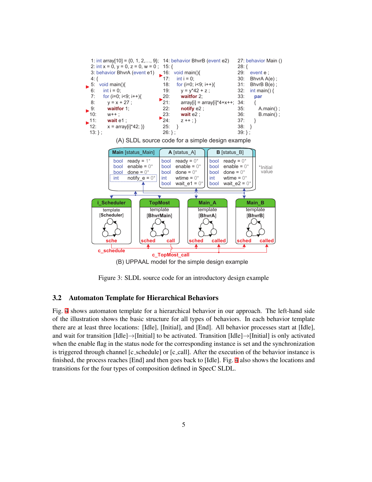

(B) UPPAAL model for the simple design example

Figure 3: SLDL source code for an introductory design example

#### <span id="page-8-0"></span>3.2 Automaton Template for Hierarchical Behaviors

Fig. [4](#page-8-0) shows automaton template for a hierarchical behavior in our approach. The left-hand side of the illustration shows the basic structure for all types of behaviors. In each behavior template there are at least three locations: [Idle], [Initial], and [End]. All behavior processes start at [Idle], and wait for transition [Idle]*→*[Initial] to be activated. Transition [Idle]*→*[Initial] is only activated when the enable flag in the status node for the corresponding instance is set and the synchronization is triggered through channel [c\_schedule] or [c\_call]. After the execution of the behavior instance is finished, the process reaches [End] and then goes back to [Idle]. Fig. [4](#page-8-0) also shows the locations and transitions for the four types of composition defined in SpecC SLDL.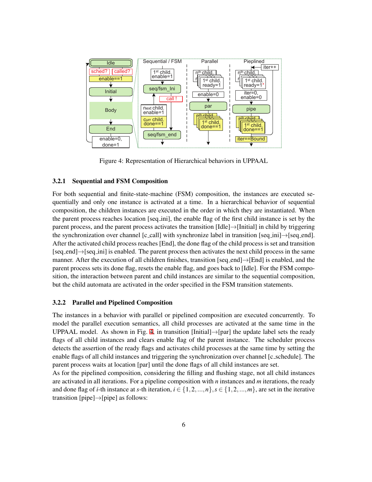

Figure 4: Representation of Hierarchical behaviors in UPPAAL

#### <span id="page-9-0"></span>3.2.1 Sequential and FSM Composition

For both sequential and finite-state-machine (FSM) composition, the instances are executed sequentially and only one instance is activated at a time. In a hierarchical behavior of sequential composition, the children instances are executed in the order in which they are instantiated. When the parent process reaches location [seq ini], the enable flag of the first child instance is set by the parent process, and the parent process activates the transition [Idle]*→*[Initial] in child by triggering the synchronization over channel [c call] with synchronize label in transition [seq ini]*→*[seq end]. After the activated child process reaches [End], the done flag of the child process is set and transition [seq end]*→*[seq ini] is enabled. The parent process then activates the next child process in the same manner. After the execution of all children finishes, transition [seq end]*→*[End] is enabled, and the parent process sets its done flag, resets the enable flag, and goes back to [Idle]. For the FSM composition, the interaction between parent and child instances are similar to the sequential composition, but the child automata are activated in the order specified in the FSM transition statements.

#### <span id="page-9-1"></span>3.2.2 Parallel and Pipelined Composition

The instances in a behavior with parallel or pipelined composition are executed concurrently. To model the parallel execution semantics, all child processes are activated at the same time in the UPPAAL model. As shown in Fig. [4,](#page-8-0) in transition [Initial]*→*[par] the update label sets the ready flags of all child instances and clears enable flag of the parent instance. The scheduler process detects the assertion of the ready flags and activates child processes at the same time by setting the enable flags of all child instances and triggering the synchronization over channel [c\_schedule]. The parent process waits at location [par] until the done flags of all child instances are set.

As for the pipelined composition, considering the filling and flushing stage, not all child instances are activated in all iterations. For a pipeline composition with *n* instances and *m* iterations, the ready and done flag of *i*-th instance at *s*-th iteration,  $i \in \{1, 2, ..., n\}$ ,  $s \in \{1, 2, ..., m\}$ , are set in the iterative transition [pipe]*→*[pipe] as follows: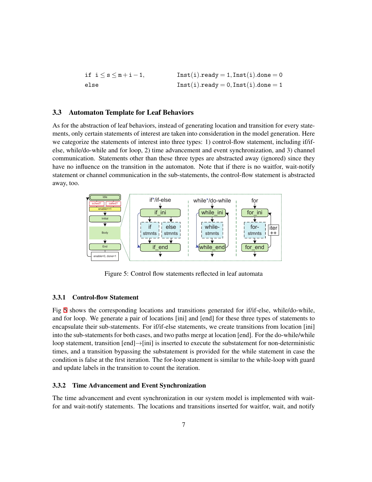| if $i \leq s \leq m+i-1$ , | $Inst(i).ready = 1, Inst(i).done = 0$ |
|----------------------------|---------------------------------------|
| else                       | $Inst(i).ready = 0, Inst(i).done = 1$ |

#### <span id="page-10-0"></span>3.3 Automaton Template for Leaf Behaviors

As for the abstraction of leaf behaviors, instead of generating location and transition for every statements, only certain statements of interest are taken into consideration in the model generation. Here we categorize the statements of interest into three types: 1) control-flow statement, including if/ifelse, while/do-while and for loop, 2) time advancement and event synchronization, and 3) channel communication. Statements other than these three types are abstracted away (ignored) since they have no influence on the transition in the automaton. Note that if there is no waitfor, wait-notify statement or channel communication in the sub-statements, the control-flow statement is abstracted away, too.



Figure 5: Control flow statements reflected in leaf automata

#### <span id="page-10-1"></span>3.3.1 Control-flow Statement

Fig [5](#page-10-0) shows the corresponding locations and transitions generated for if/if-else, while/do-while, and for loop. We generate a pair of locations [ini] and [end] for these three types of statements to encapsulate their sub-statements. For if/if-else statements, we create transitions from location [ini] into the sub-statements for both cases, and two paths merge at location [end]. For the do-while/while loop statement, transition [end]*→*[ini] is inserted to execute the substatement for non-deterministic times, and a transition bypassing the substatement is provided for the while statement in case the condition is false at the first iteration. The for-loop statement is similar to the while-loop with guard and update labels in the transition to count the iteration.

#### <span id="page-10-2"></span>3.3.2 Time Advancement and Event Synchronization

The time advancement and event synchronization in our system model is implemented with waitfor and wait-notify statements. The locations and transitions inserted for waitfor, wait, and notify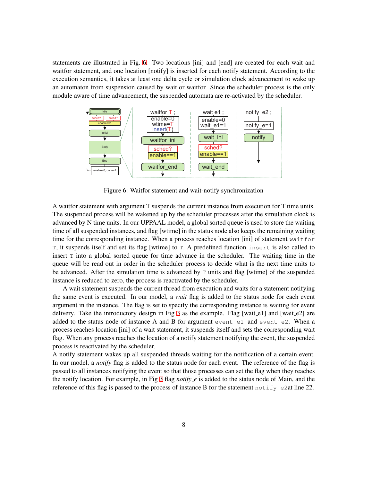statements are illustrated in Fig. [6.](#page-10-2) Two locations [ini] and [end] are created for each wait and waitfor statement, and one location [notify] is inserted for each notify statement. According to the execution semantics, it takes at least one delta cycle or simulation clock advancement to wake up an automaton from suspension caused by wait or waitfor. Since the scheduler process is the only module aware of time advancement, the suspended automata are re-activated by the scheduler.



Figure 6: Waitfor statement and wait-notify synchronization

A waitfor statement with argument T suspends the current instance from execution for T time units. The suspended process will be wakened up by the scheduler processes after the simulation clock is advanced by N time units. In our UPPAAL model, a global sorted queue is used to store the waiting time of all suspended instances, and flag [wtime] in the status node also keeps the remaining waiting time for the corresponding instance. When a process reaches location [ini] of statement waitfor T, it suspends itself and set its flag [wtime] to T. A predefined function insert is also called to insert  $T$  into a global sorted queue for time advance in the scheduler. The waiting time in the queue will be read out in order in the scheduler process to decide what is the next time units to be advanced. After the simulation time is advanced by  $T$  units and flag [wtime] of the suspended instance is reduced to zero, the process is reactivated by the scheduler.

A wait statement suspends the current thread from execution and waits for a statement notifying the same event is executed. In our model, a *wait* flag is added to the status node for each event argument in the instance. The flag is set to specify the corresponding instance is waiting for event delivery. Take the introductory design in Fig [3](#page-6-1) as the example. Flag [wait\_e1] and [wait\_e2] are added to the status node of instance A and B for argument event e1 and event e2. When a process reaches location [ini] of a wait statement, it suspends itself and sets the corresponding wait flag. When any process reaches the location of a notify statement notifying the event, the suspended process is reactivated by the scheduler.

A notify statement wakes up all suspended threads waiting for the notification of a certain event. In our model, a *notify* flag is added to the status node for each event. The reference of the flag is passed to all instances notifying the event so that those processes can set the flag when they reaches the notify location. For example, in Fig [3](#page-6-1) flag *notify e* is added to the status node of Main, and the reference of this flag is passed to the process of instance B for the statement notify e2at line 22.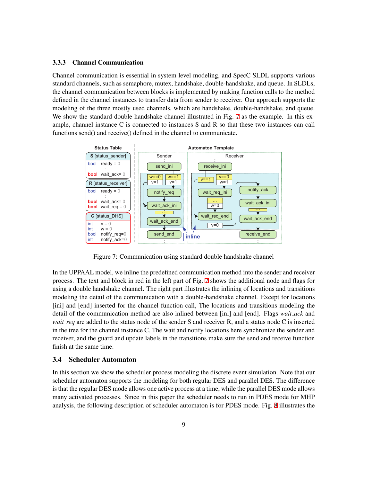#### <span id="page-12-0"></span>3.3.3 Channel Communication

Channel communication is essential in system level modeling, and SpecC SLDL supports various standard channels, such as semaphore, mutex, handshake, double-handshake, and queue. In SLDLs, the channel communication between blocks is implemented by making function calls to the method defined in the channel instances to transfer data from sender to receiver. Our approach supports the modeling of the three mostly used channels, which are handshake, double-handshake, and queue. We show the standard double handshake channel illustrated in Fig. [7](#page-12-0) as the example. In this example, channel instance C is connected to instances S and R so that these two instances can call functions send() and receive() defined in the channel to communicate.



Figure 7: Communication using standard double handshake channel

In the UPPAAL model, we inline the predefined communication method into the sender and receiver process. The text and block in red in the left part of Fig. [7](#page-12-0) shows the additional node and flags for using a double handshake channel. The right part illustrates the inlining of locations and transitions modeling the detail of the communication with a double-handshake channel. Except for locations [ini] and [end] inserted for the channel function call, The locations and transitions modeling the detail of the communication method are also inlined between [ini] and [end]. Flags *wait ack* and *wait\_req* are added to the status node of the sender S and receiver R, and a status node C is inserted in the tree for the channel instance C. The wait and notify locations here synchronize the sender and receiver, and the guard and update labels in the transitions make sure the send and receive function finish at the same time.

#### <span id="page-12-1"></span>3.4 Scheduler Automaton

In this section we show the scheduler process modeling the discrete event simulation. Note that our scheduler automaton supports the modeling for both regular DES and parallel DES. The difference is that the regular DES mode allows one active process at a time, while the parallel DES mode allows many activated processes. Since in this paper the scheduler needs to run in PDES mode for MHP analysis, the following description of scheduler automaton is for PDES mode. Fig. [8](#page-12-1) illustrates the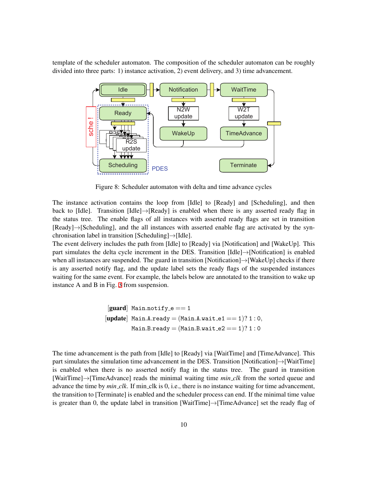template of the scheduler automaton. The composition of the scheduler automaton can be roughly divided into three parts: 1) instance activation, 2) event delivery, and 3) time advancement.



Figure 8: Scheduler automaton with delta and time advance cycles

The instance activation contains the loop from [Idle] to [Ready] and [Scheduling], and then back to [Idle]. Transition [Idle]*→*[Ready] is enabled when there is any asserted ready flag in the status tree. The enable flags of all instances with asserted ready flags are set in transition [Ready]*→*[Scheduling], and the all instances with asserted enable flag are activated by the synchronisation label in transition [Scheduling]*→*[Idle].

The event delivery includes the path from [Idle] to [Ready] via [Notification] and [WakeUp]. This part simulates the delta cycle increment in the DES. Transition [Idle]*→*[Notification] is enabled when all instances are suspended. The guard in transition [Notification]*→*[WakeUp] checks if there is any asserted notify flag, and the update label sets the ready flags of the suspended instances waiting for the same event. For example, the labels below are annotated to the transition to wake up instance A and B in Fig. [3](#page-6-1) from suspension.

[guard] Main*.*notify e == 1 [update] Main*.*A*.*ready = (Main*.*A*.*wait e1 == 1)? 1 : 0*,* Main*.*B*.*ready = (Main*.*B*.*wait e2 == 1)? 1 : 0

The time advancement is the path from [Idle] to [Ready] via [WaitTime] and [TimeAdvance]. This part simulates the simulation time advancement in the DES. Transition [Notification]*→*[WaitTime] is enabled when there is no asserted notify flag in the status tree. The guard in transition [WaitTime]*→*[TimeAdvance] reads the minimal waiting time *min clk* from the sorted queue and advance the time by *min\_clk*. If min\_clk is 0, i.e., there is no instance waiting for time advancement, the transition to [Terminate] is enabled and the scheduler process can end. If the minimal time value is greater than 0, the update label in transition [WaitTime]*→*[TimeAdvance] set the ready flag of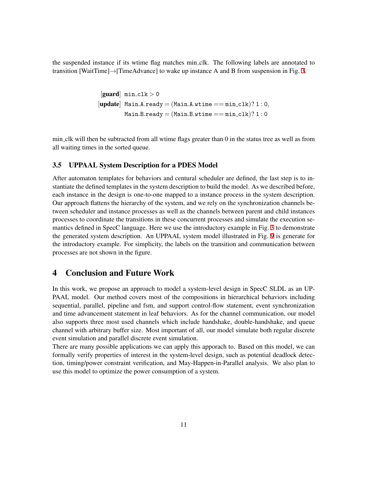the suspended instance if its wtime flag matches min clk. The following labels are annotated to transition [WaitTime]*→*[TimeAdvance] to wake up instance A and B from suspension in Fig. [3.](#page-6-1)

> $\left[\text{guard}\right]$  min\_clk  $>0$  $[update]$  Main*.A.ready* =  $(Main.A.wtime == min_clk)? 1:0,$  $Main.B.ready = (Main.B.wtime == min_clk)? 1:0$

min clk will then be subtracted from all wtime flags greater than 0 in the status tree as well as from all waiting times in the sorted queue.

#### <span id="page-14-0"></span>3.5 UPPAAL System Description for a PDES Model

After automaton templates for behaviors and centural scheduler are defined, the last step is to instantiate the defined templates in the system description to build the model. As we described before, each instance in the design is one-to-one mapped to a instance process in the system description. Our approach flattens the hierarchy of the system, and we rely on the synchronization channels between scheduler and instance processes as well as the channels between parent and child instances processes to coordinate the transitions in these concurrent processes and simulate the execution semantics defined in SpecC language. Here we use the introductory example in Fig. [3](#page-6-1) to demonstrate the generated system description. An UPPAAL system model illustrated in Fig. [9](#page-14-0) is generate for the introductory example. For simplicity, the labels on the transition and communication between processes are not shown in the figure.

### <span id="page-14-1"></span>4 Conclusion and Future Work

In this work, we propose an approach to model a system-level design in SpecC SLDL as an UP-PAAL model. Our method covers most of the compositions in hierarchical behaviors including sequential, parallel, pipeline and fsm, and support control-flow statement, event synchronization and time advancement statement in leaf behaviors. As for the channel communication, our model also supports three most used channels which include handshake, double-handshake, and queue channel with arbitrary buffer size. Most important of all, our model simulate both regular discrete event simulation and parallel discrete event simulation.

There are many possible applications we can apply this apporach to. Based on this model, we can formally verify properties of interest in the system-level design, such as potential deadlock detection, timing/power constraint verification, and May-Happen-in-Parallel analysis. We also plan to use this model to optimize the power consumption of a system.